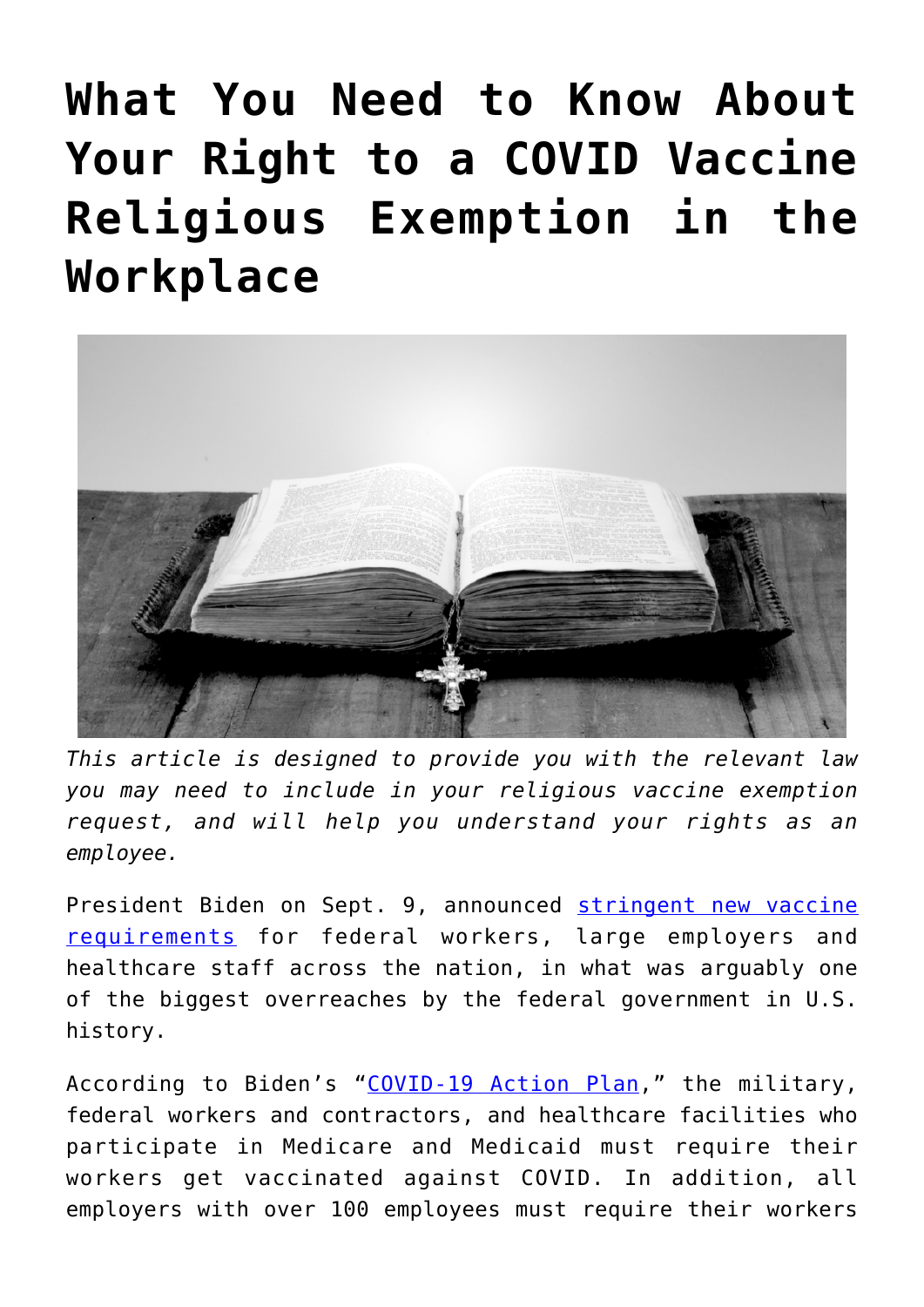# **[What You Need to Know About](https://thevaultproject.org/covid-vaccine-religious-exemption-employment/) [Your Right to a COVID Vaccine](https://thevaultproject.org/covid-vaccine-religious-exemption-employment/) [Religious Exemption in the](https://thevaultproject.org/covid-vaccine-religious-exemption-employment/) [Workplace](https://thevaultproject.org/covid-vaccine-religious-exemption-employment/)**



*This article is designed to provide you with the relevant law you may need to include in your religious vaccine exemption request, and will help you understand your rights as an employee.*

President Biden on Sept. 9, announced [stringent new vaccine](https://www.whitehouse.gov/covidplan/#vaccinate) [requirements](https://www.whitehouse.gov/covidplan/#vaccinate) for federal workers, large employers and healthcare staff across the nation, in what was arguably one of the biggest overreaches by the federal government in U.S. history.

According to Biden's "[COVID-19 Action Plan](https://www.whitehouse.gov/covidplan/#vaccinate)," the military, federal workers and contractors, and healthcare facilities who participate in Medicare and Medicaid must require their workers get vaccinated against COVID. In addition, all employers with over 100 employees must require their workers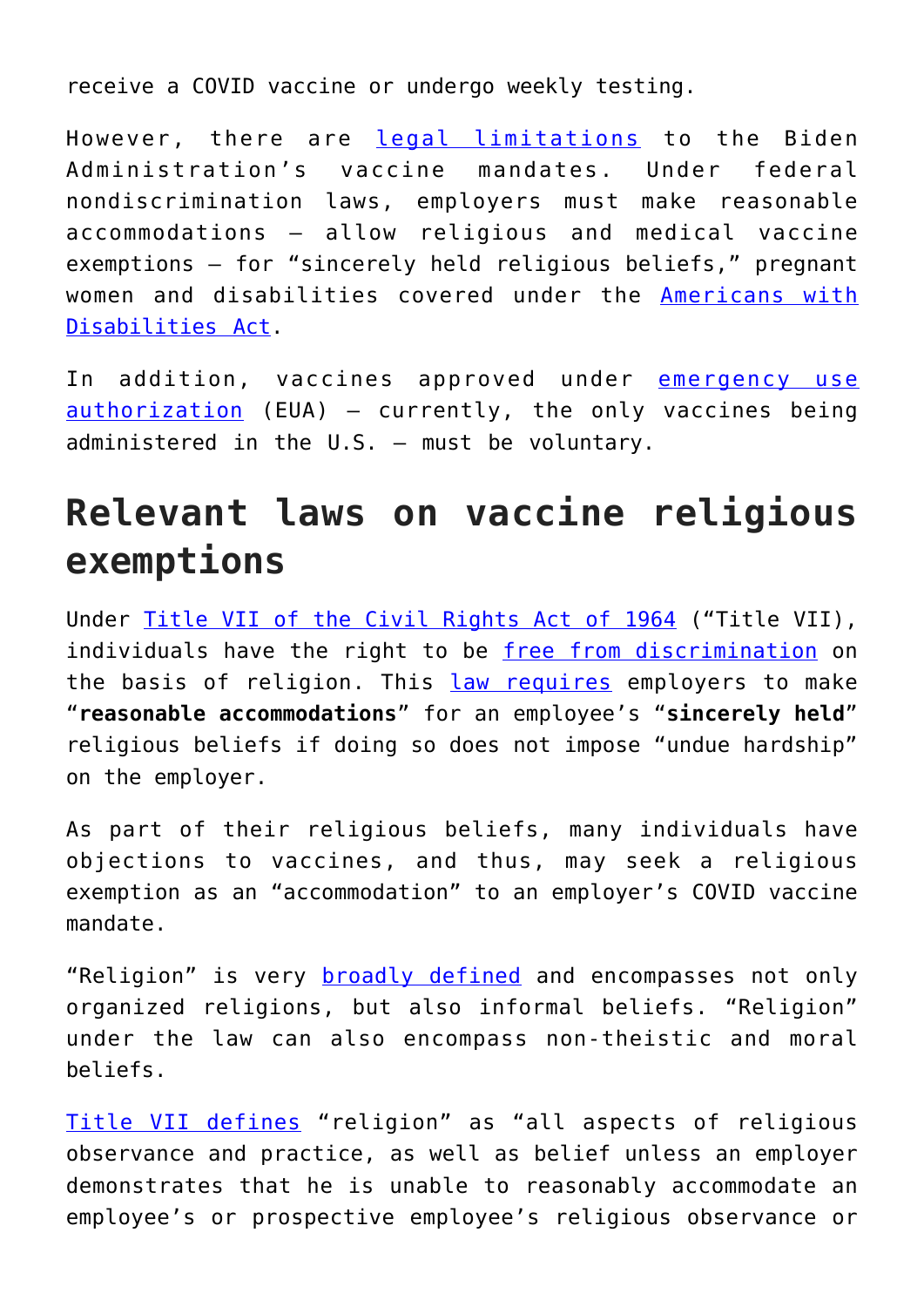receive a COVID vaccine or undergo weekly testing.

However, there are [legal limitations](https://www.eeoc.gov/statutes/title-vii-civil-rights-act-1964) to the Biden Administration's vaccine mandates. Under federal nondiscrimination laws, employers must make reasonable accommodations — allow religious and medical vaccine exemptions — for "sincerely held religious beliefs," pregnant women and disabilities covered under the [Americans with](https://www.ada.gov/) [Disabilities Act.](https://www.ada.gov/)

In addition, vaccines approved under [emergency use](https://www.law.cornell.edu/uscode/text/21/360bbb-3) [authorization](https://www.law.cornell.edu/uscode/text/21/360bbb-3) (EUA) — currently, the only vaccines being administered in the U.S. — must be voluntary.

### **Relevant laws on vaccine religious exemptions**

Under [Title VII of the Civil Rights Act of 1964](https://www.eeoc.gov/statutes/title-vii-civil-rights-act-1964) ("Title VII), individuals have the right to be [free from discrimination](https://www.prinz-lawfirm.com/our-blog/2020/december/the-covid-19-vaccine-is-here-a-look-at-religious/) on the basis of religion. This [law requires](https://www.findlaw.com/legalblogs/law-and-life/what-are-the-requirements-for-a-vaccine-religious-exemption/) employers to make "**reasonable accommodations**" for an employee's "**sincerely held**" religious beliefs if doing so does not impose "undue hardship" on the employer.

As part of their religious beliefs, many individuals have objections to vaccines, and thus, may seek a religious exemption as an "accommodation" to an employer's COVID vaccine mandate.

"Religion" is very **broadly defined** and encompasses not only organized religions, but also informal beliefs. "Religion" under the law can also encompass non-theistic and moral beliefs.

[Title VII defines](https://www.eeoc.gov/statutes/title-vii-civil-rights-act-1964) "religion" as "all aspects of religious observance and practice, as well as belief unless an employer demonstrates that he is unable to reasonably accommodate an employee's or prospective employee's religious observance or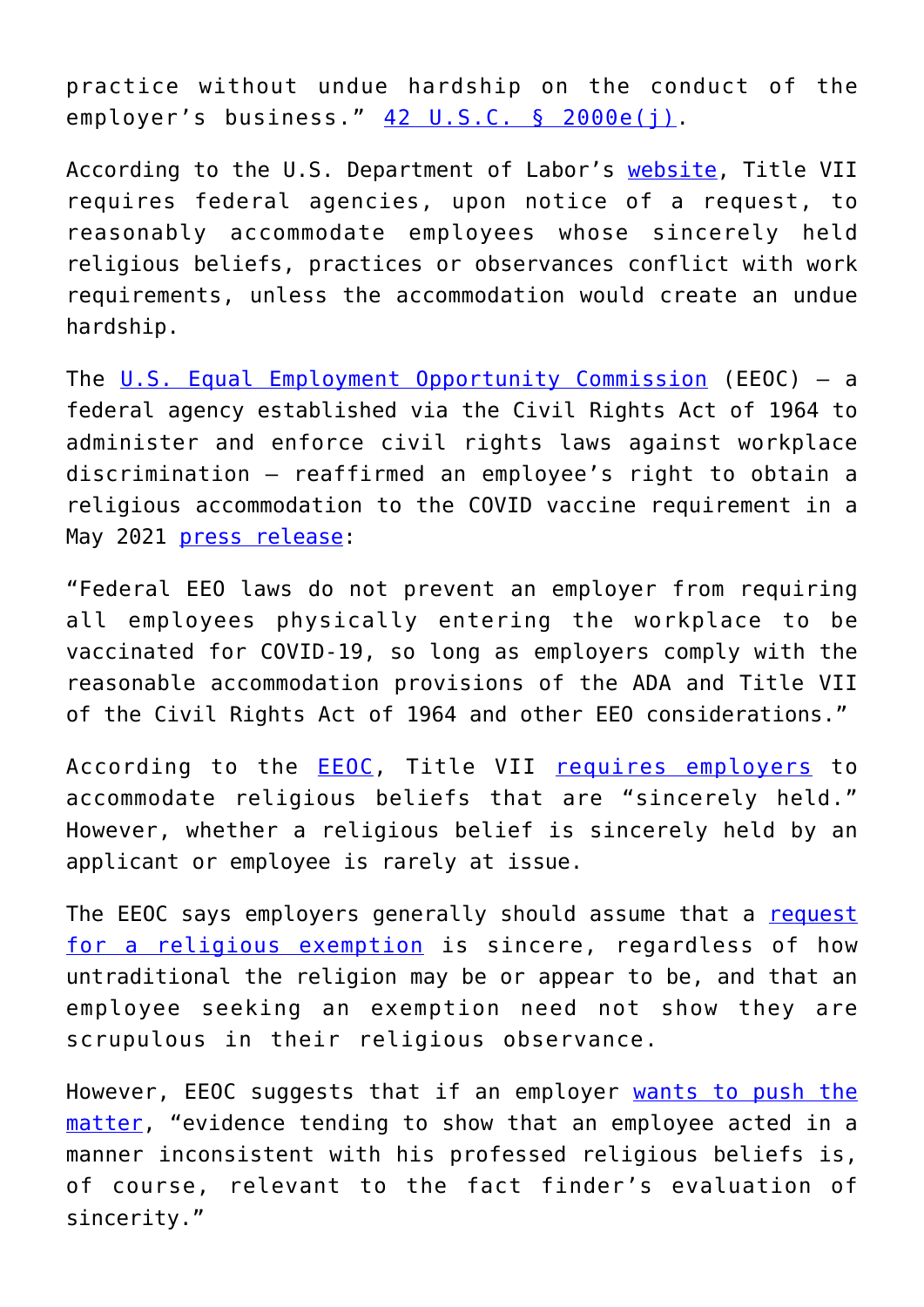practice without undue hardship on the conduct of the employer's business." [42 U.S.C. § 2000e\(j\).](https://www.law.cornell.edu/uscode/text/42/2000e)

According to the U.S. Department of Labor's [website](https://www.dol.gov/agencies/oasam/civil-rights-center/internal/policies/religious-discrimination-accommodation), Title VII requires federal agencies, upon notice of a request, to reasonably accommodate employees whose sincerely held religious beliefs, practices or observances conflict with work requirements, unless the accommodation would create an undue hardship.

The [U.S. Equal Employment Opportunity Commission](https://www.eeoc.gov/overview) (EEOC) — a federal agency established via the Civil Rights Act of 1964 to administer and enforce civil rights laws against workplace discrimination — reaffirmed an employee's right to obtain a religious accommodation to the COVID vaccine requirement in a May 2021 [press release](https://www.eeoc.gov/newsroom/eeoc-issues-updated-covid-19-technical-assistance):

"Federal EEO laws do not prevent an employer from requiring all employees physically entering the workplace to be vaccinated for COVID-19, so long as employers comply with the reasonable accommodation provisions of the ADA and Title VII of the Civil Rights Act of 1964 and other EEO considerations."

According to the [EEOC](https://www.eeoc.gov/overview), Title VII [requires employers](https://www.eeoc.gov/laws/guidance/section-12-religious-discrimination#h_9546543277761610748655186) to accommodate religious beliefs that are "sincerely held." However, whether a religious belief is sincerely held by an applicant or employee is rarely at issue.

The EEOC says employers generally should assume that a [request](https://www.eeoc.gov/laws/guidance/section-12-religious-discrimination#h_9546543277761610748655186) [for a religious exemption](https://www.eeoc.gov/laws/guidance/section-12-religious-discrimination#h_9546543277761610748655186) is sincere, regardless of how untraditional the religion may be or appear to be, and that an employee seeking an exemption need not show they are scrupulous in their religious observance.

However, EEOC suggests that if an employer [wants to push the](https://www.findlaw.com/legalblogs/law-and-life/what-are-the-requirements-for-a-vaccine-religious-exemption/) [matter](https://www.findlaw.com/legalblogs/law-and-life/what-are-the-requirements-for-a-vaccine-religious-exemption/), "evidence tending to show that an employee acted in a manner inconsistent with his professed religious beliefs is, of course, relevant to the fact finder's evaluation of sincerity."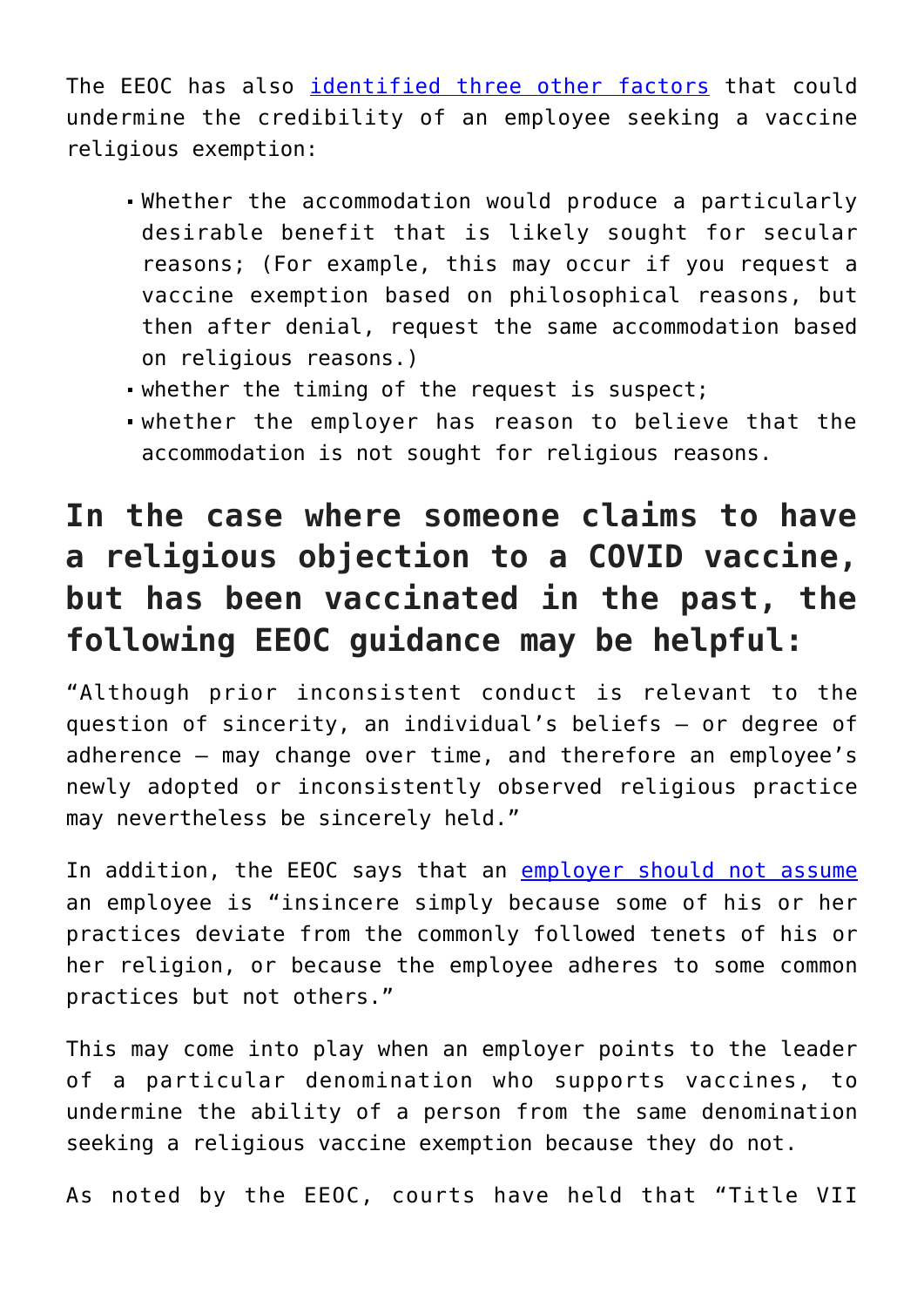The EEOC has also [identified three other factors](https://www.eeoc.gov/laws/guidance/section-12-religious-discrimination#h_9546543277761610748655186) that could undermine the credibility of an employee seeking a vaccine religious exemption:

- Whether the accommodation would produce a particularly desirable benefit that is likely sought for secular reasons; (For example, this may occur if you request a vaccine exemption based on philosophical reasons, but then after denial, request the same accommodation based on religious reasons.)
- whether the timing of the request is suspect;
- whether the employer has reason to believe that the accommodation is not sought for religious reasons.

#### **In the case where someone claims to have a religious objection to a COVID vaccine, but has been vaccinated in the past, the following EEOC guidance may be helpful:**

"Although prior inconsistent conduct is relevant to the question of sincerity, an individual's beliefs — or degree of adherence — may change over time, and therefore an employee's newly adopted or inconsistently observed religious practice may nevertheless be sincerely held."

In addition, the EEOC says that an [employer should not assume](https://www.eeoc.gov/laws/guidance/section-12-religious-discrimination#h_9546543277761610748655186) an employee is "insincere simply because some of his or her practices deviate from the commonly followed tenets of his or her religion, or because the employee adheres to some common practices but not others."

This may come into play when an employer points to the leader of a particular denomination who supports vaccines, to undermine the ability of a person from the same denomination seeking a religious vaccine exemption because they do not.

As noted by the EEOC, courts have held that "Title VII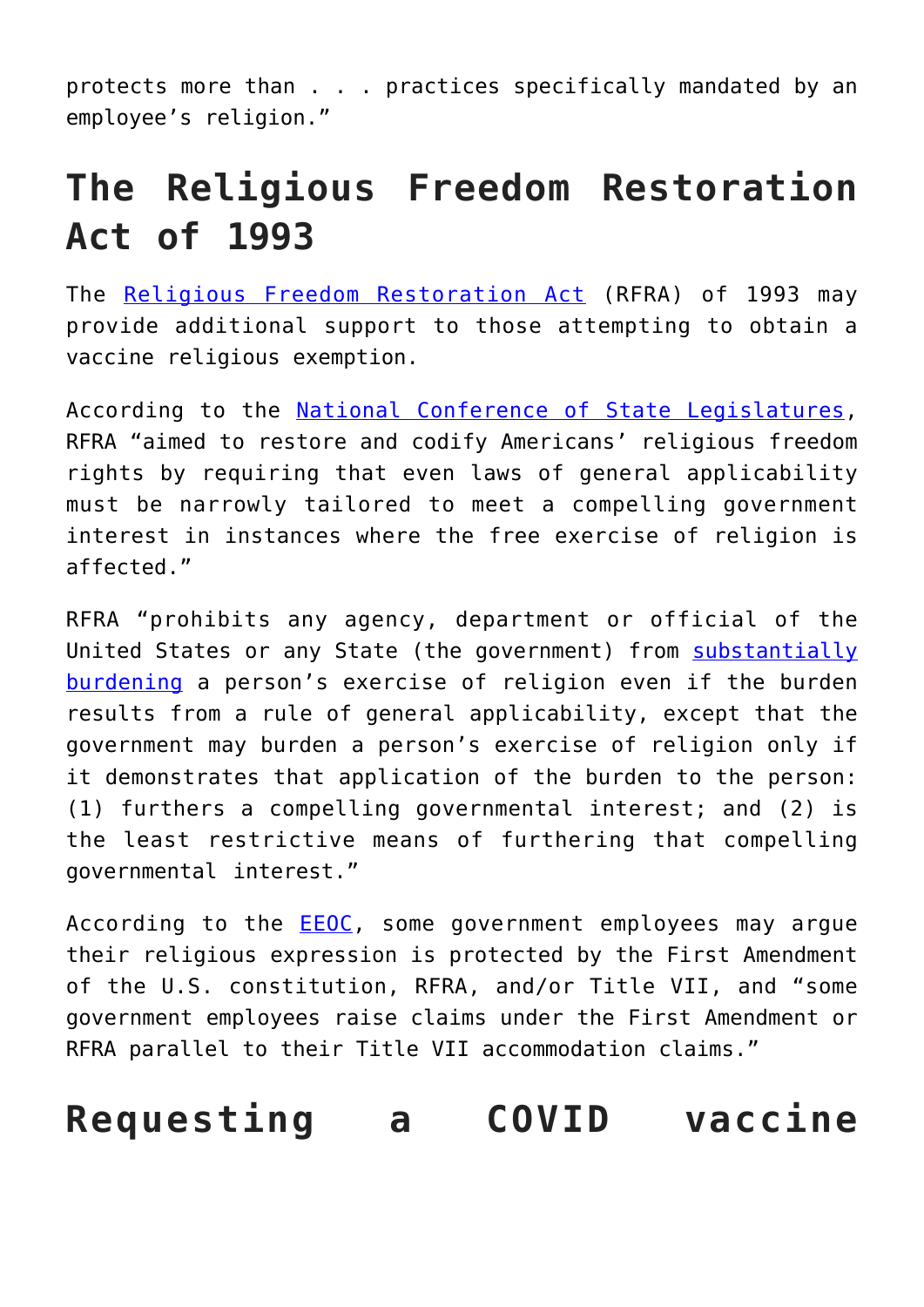protects more than . . . practices specifically mandated by an employee's religion."

## **The Religious Freedom Restoration Act of 1993**

The [Religious Freedom Restoration Act](https://www.congress.gov/bill/103rd-congress/house-bill/1308) (RFRA) of 1993 may provide additional support to those attempting to obtain a vaccine religious exemption.

According to the [National Conference of State Legislatures,](https://www.ncsl.org/research/civil-and-criminal-justice/religious-freedom-restoration-acts-lb.aspx) RFRA "aimed to restore and codify Americans' religious freedom rights by requiring that even laws of general applicability must be narrowly tailored to meet a compelling government interest in instances where the free exercise of religion is affected."

RFRA "prohibits any agency, department or official of the United States or any State (the government) from [substantially](https://www.congress.gov/bill/103rd-congress/house-bill/1308) [burdening](https://www.congress.gov/bill/103rd-congress/house-bill/1308) a person's exercise of religion even if the burden results from a rule of general applicability, except that the government may burden a person's exercise of religion only if it demonstrates that application of the burden to the person: (1) furthers a compelling governmental interest; and (2) is the least restrictive means of furthering that compelling governmental interest."

According to the **EEOC**, some government employees may argue their religious expression is protected by the First Amendment of the U.S. constitution, RFRA, and/or Title VII, and "some government employees raise claims under the First Amendment or RFRA parallel to their Title VII accommodation claims."

#### **Requesting a COVID vaccine**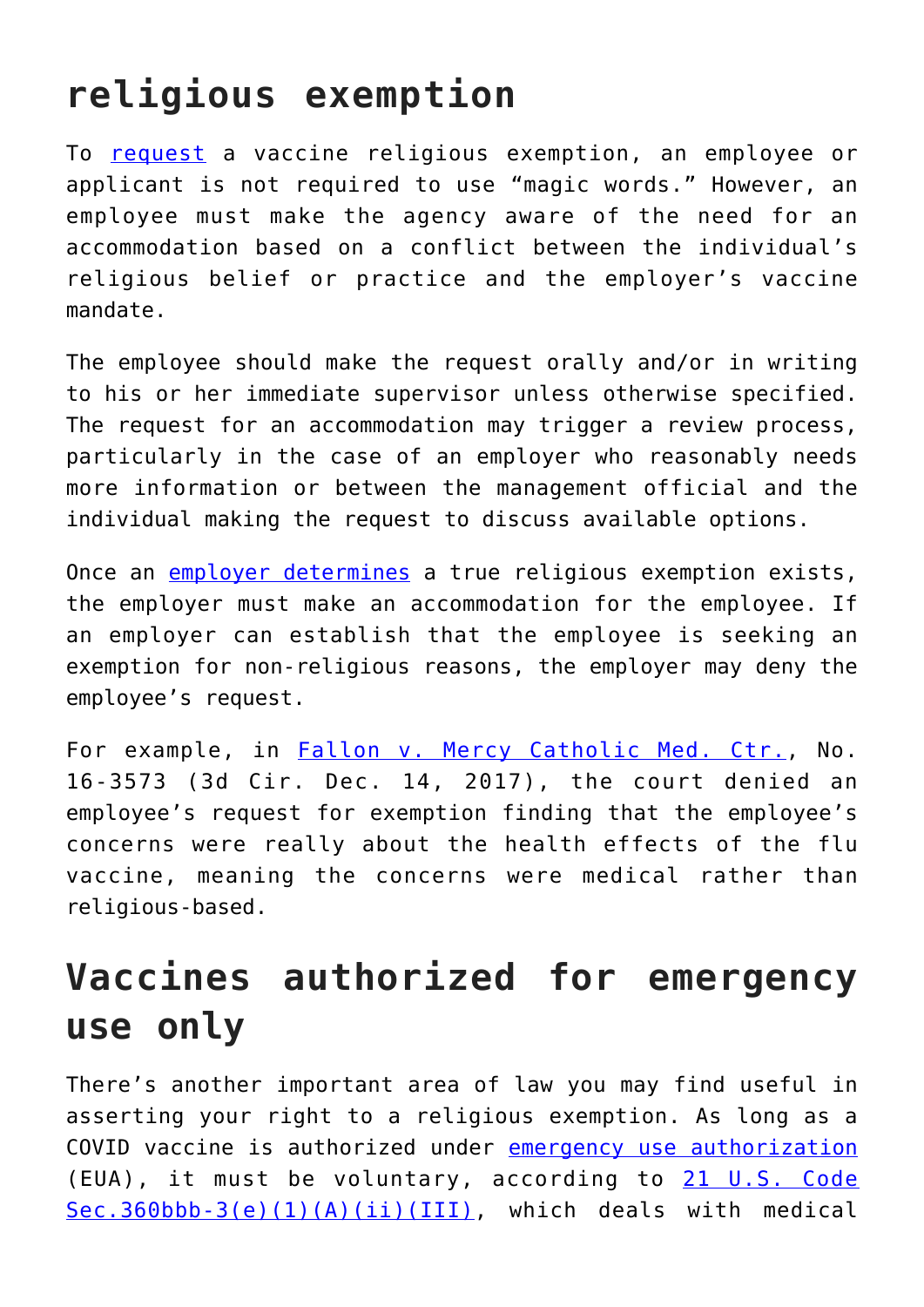## **religious exemption**

To [request](https://www.dol.gov/agencies/oasam/civil-rights-center/internal/policies/religious-discrimination-accommodation) a vaccine religious exemption, an employee or applicant is not required to use "magic words." However, an employee must make the agency aware of the need for an accommodation based on a conflict between the individual's religious belief or practice and the employer's vaccine mandate.

The employee should make the request orally and/or in writing to his or her immediate supervisor unless otherwise specified. The request for an accommodation may trigger a review process, particularly in the case of an employer who reasonably needs more information or between the management official and the individual making the request to discuss available options.

Once an [employer determines](https://www.prinz-lawfirm.com/our-blog/2020/december/the-covid-19-vaccine-is-here-a-look-at-religious/) a true religious exemption exists, the employer must make an accommodation for the employee. If an employer can establish that the employee is seeking an exemption for non-religious reasons, the employer may deny the employee's request.

For example, in [Fallon v. Mercy Catholic Med. Ctr.,](https://law.justia.com/cases/federal/appellate-courts/ca3/16-3573/16-3573-2017-12-14.html) No. 16-3573 (3d Cir. Dec. 14, 2017), the court denied an employee's request for exemption finding that the employee's concerns were really about the health effects of the flu vaccine, meaning the concerns were medical rather than religious-based.

### **Vaccines authorized for emergency use only**

There's another important area of law you may find useful in asserting your right to a religious exemption. As long as a COVID vaccine is authorized under [emergency use authorization](https://www.fda.gov/emergency-preparedness-and-response/mcm-legal-regulatory-and-policy-framework/emergency-use-authorization) (EUA), it must be voluntary, according to [21 U.S. Code](https://www.law.cornell.edu/uscode/text/21/360bbb-3) [Sec.360bbb-3\(e\)\(1\)\(A\)\(ii\)\(III\),](https://www.law.cornell.edu/uscode/text/21/360bbb-3) which deals with medical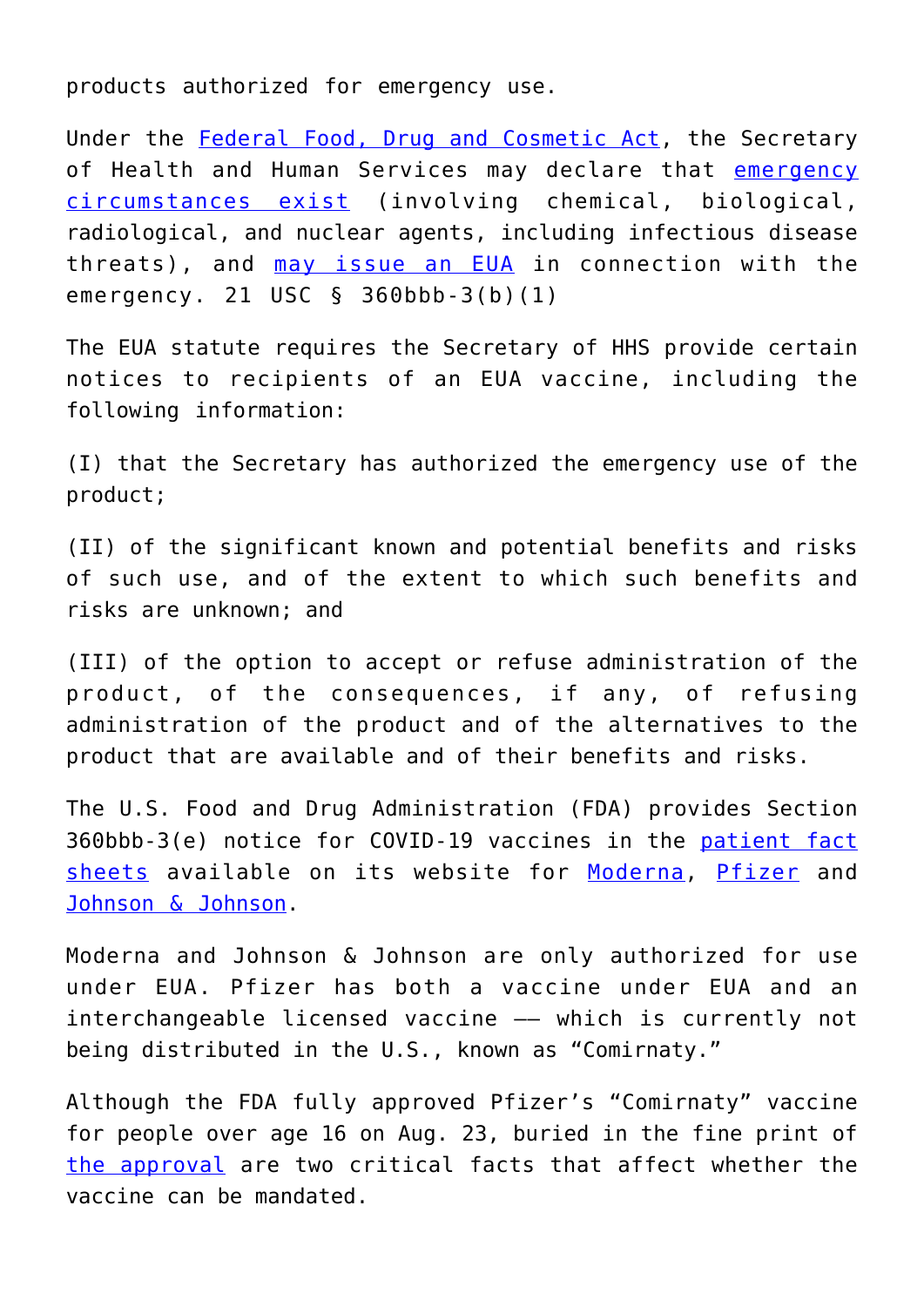products authorized for emergency use.

Under the [Federal Food, Drug and Cosmetic Act,](https://www.fda.gov/regulatory-information/laws-enforced-fda/federal-food-drug-and-cosmetic-act-fdc-act) the Secretary of Health and Human Services may declare that [emergency](https://adamsleclair.law/spring-2021-update-can-employers-require-covid-19-vaccination/) [circumstances exist](https://adamsleclair.law/spring-2021-update-can-employers-require-covid-19-vaccination/) (involving chemical, biological, radiological, and nuclear agents, including infectious disease threats), and [may issue an EUA](https://www.fda.gov/media/142749/download) in connection with the emergency. 21 USC § 360bbb-3(b)(1)

The EUA statute requires the Secretary of HHS provide certain notices to recipients of an EUA vaccine, including the following information:

(I) that the Secretary has authorized the emergency use of the product;

(II) of the significant known and potential benefits and risks of such use, and of the extent to which such benefits and risks are unknown; and

(III) of the option to accept or refuse administration of the product, of the consequences, if any, of refusing administration of the product and of the alternatives to the product that are available and of their benefits and risks.

The U.S. Food and Drug Administration (FDA) provides Section 360bbb-3(e) notice for COVID-19 vaccines in the [patient fact](https://www.fda.gov/vaccines-blood-biologics/vaccines/emergency-use-authorization-vaccines-explained) [sheets](https://www.fda.gov/vaccines-blood-biologics/vaccines/emergency-use-authorization-vaccines-explained) available on its website for [Moderna](https://www.fda.gov/media/144638/download), [Pfizer](https://www.fda.gov/media/144413/download) and [Johnson & Johnson.](https://www.fda.gov/media/146304/download)

Moderna and Johnson & Johnson are only authorized for use under EUA. Pfizer has both a vaccine under EUA and an interchangeable licensed vaccine –– which is currently not being distributed in the U.S., known as "Comirnaty."

Although the FDA fully approved Pfizer's "Comirnaty" vaccine for people over age 16 on Aug. 23, buried in the fine print of [the approval](https://www.fda.gov/media/150386/download) are two critical facts that affect whether the vaccine can be mandated.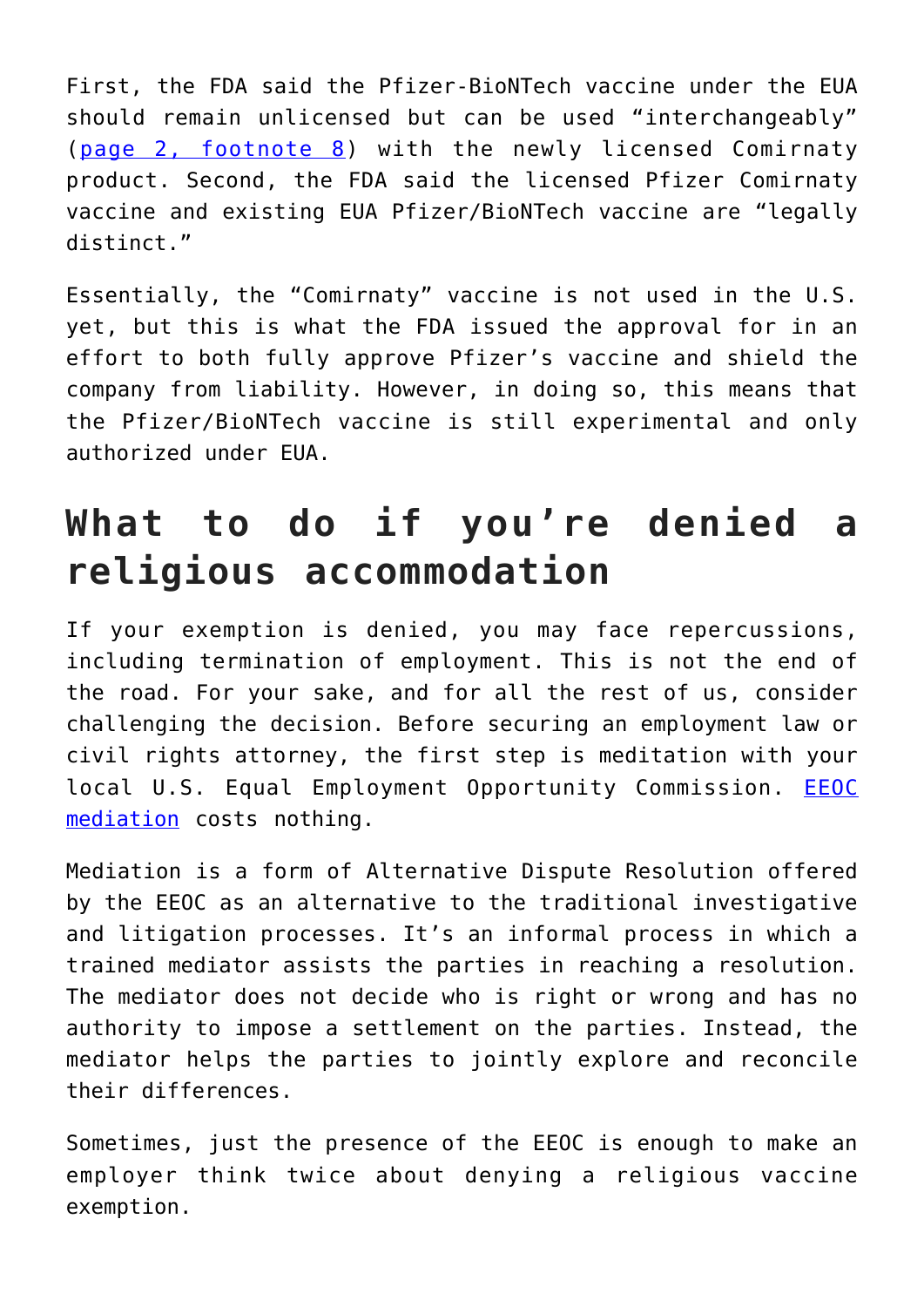First, the FDA said the Pfizer-BioNTech vaccine under the EUA should remain unlicensed but can be used "interchangeably" ([page 2, footnote 8\)](https://www.fda.gov/media/150386/download) with the newly licensed Comirnaty product. Second, the FDA said the licensed Pfizer Comirnaty vaccine and existing EUA Pfizer/BioNTech vaccine are "legally distinct."

Essentially, the "Comirnaty" vaccine is not used in the U.S. yet, but this is what the FDA issued the approval for in an effort to both fully approve Pfizer's vaccine and shield the company from liability. However, in doing so, this means that the Pfizer/BioNTech vaccine is still experimental and only authorized under EUA.

## **What to do if you're denied a religious accommodation**

If your exemption is denied, you may face repercussions, including termination of employment. This is not the end of the road. For your sake, and for all the rest of us, consider challenging the decision. Before securing an employment law or civil rights attorney, the first step is meditation with your local U.S. Equal Employment Opportunity Commission. **[EEOC](https://www.eeoc.gov/employers/resolving-charge)** [mediation](https://www.eeoc.gov/employers/resolving-charge) costs nothing.

Mediation is a form of Alternative Dispute Resolution offered by the EEOC as an alternative to the traditional investigative and litigation processes. It's an informal process in which a trained mediator assists the parties in reaching a resolution. The mediator does not decide who is right or wrong and has no authority to impose a settlement on the parties. Instead, the mediator helps the parties to jointly explore and reconcile their differences.

Sometimes, just the presence of the EEOC is enough to make an employer think twice about denying a religious vaccine exemption.